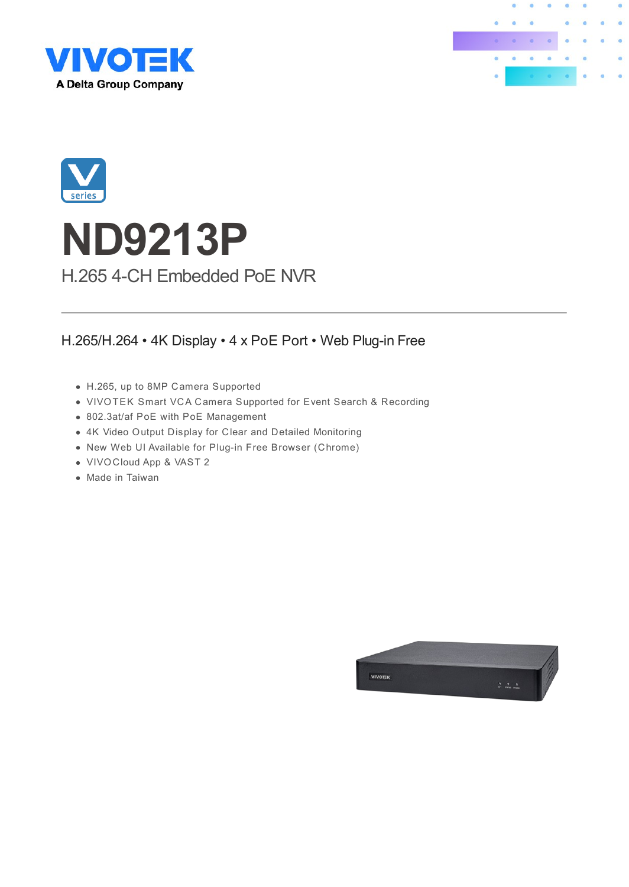





# **ND9213P** H.265 4-CH Embedded PoE NVR

#### H.265/H.264 • 4K Display • 4 x PoE Port • Web Plug-in Free

- H.265, up to 8MP Camera Supported
- VIVOTEK Smart VCA Camera Supported for Event Search & Recording
- 802.3at/af PoE with PoE Management
- 4K Video Output Display for Clear and Detailed Monitoring
- New Web UI Available for Plug-in Free Browser (Chrome)
- VIVOCloud App & VAST 2
- Made in Taiwan

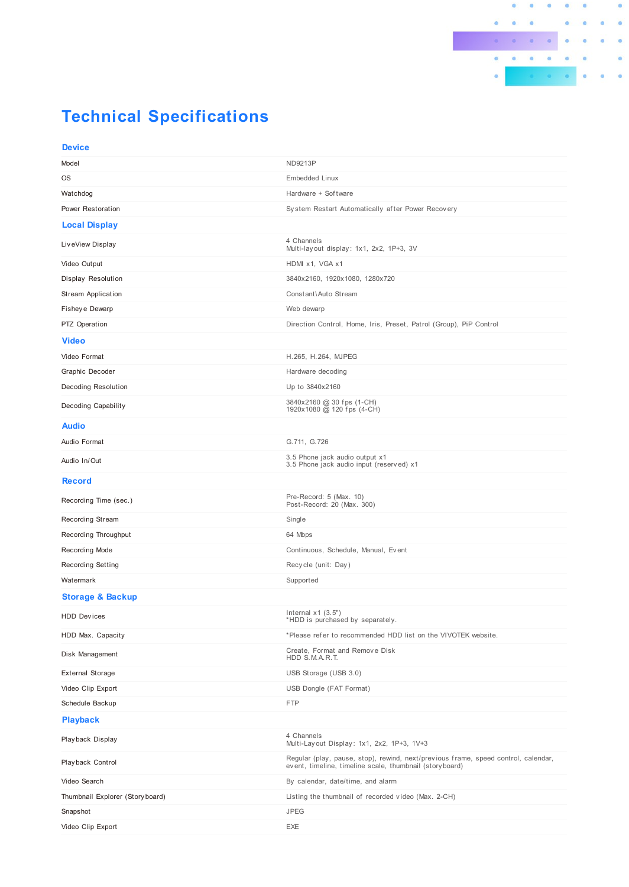

## **Technical Specifications**

| <b>Device</b>                    |                                                                                                                                                |
|----------------------------------|------------------------------------------------------------------------------------------------------------------------------------------------|
| Model                            | <b>ND9213P</b>                                                                                                                                 |
| <b>OS</b>                        | <b>Embedded Linux</b>                                                                                                                          |
| Watchdog                         | Hardware + Software                                                                                                                            |
| Power Restoration                | System Restart Automatically after Power Recovery                                                                                              |
| <b>Local Display</b>             |                                                                                                                                                |
| LiveView Display                 | 4 Channels<br>Multi-layout display: 1x1, 2x2, 1P+3, 3V                                                                                         |
| Video Output                     | HDMI x1, VGA x1                                                                                                                                |
| Display Resolution               | 3840x2160, 1920x1080, 1280x720                                                                                                                 |
| <b>Stream Application</b>        | Constant\Auto Stream                                                                                                                           |
| Fisheye Dewarp                   | Web dewarp                                                                                                                                     |
| PTZ Operation                    | Direction Control, Home, Iris, Preset, Patrol (Group), PiP Control                                                                             |
| <b>Video</b>                     |                                                                                                                                                |
| Video Format                     | H.265, H.264, MJPEG                                                                                                                            |
| Graphic Decoder                  | Hardware decoding                                                                                                                              |
| Decoding Resolution              | Up to 3840x2160                                                                                                                                |
| <b>Decoding Capability</b>       | 3840x2160 @ 30 fps (1-CH)<br>1920x1080 @ 120 fps (4-CH)                                                                                        |
| <b>Audio</b>                     |                                                                                                                                                |
| Audio Format                     | G.711, G.726                                                                                                                                   |
| Audio In/Out                     | 3.5 Phone jack audio output x1<br>3.5 Phone jack audio input (reserved) x1                                                                     |
| <b>Record</b>                    |                                                                                                                                                |
| Recording Time (sec.)            | Pre-Record: 5 (Max. 10)<br>Post-Record: 20 (Max. 300)                                                                                          |
| Recording Stream                 | Single                                                                                                                                         |
| Recording Throughput             | 64 Mbps                                                                                                                                        |
| Recording Mode                   | Continuous, Schedule, Manual, Event                                                                                                            |
| <b>Recording Setting</b>         | Recycle (unit: Day)                                                                                                                            |
| Watermark                        | Supported                                                                                                                                      |
| <b>Storage &amp; Backup</b>      |                                                                                                                                                |
| <b>HDD Devices</b>               | Internal $x1$ (3.5")<br>*HDD is purchased by separately.                                                                                       |
| HDD Max. Capacity                | *Please refer to recommended HDD list on the VIVOTEK website.                                                                                  |
| Disk Management                  | Create, Format and Remove Disk<br>HDD S.M.A.R.T.                                                                                               |
| <b>External Storage</b>          | USB Storage (USB 3.0)                                                                                                                          |
| Video Clip Export                | USB Dongle (FAT Format)                                                                                                                        |
| Schedule Backup                  | <b>FTP</b>                                                                                                                                     |
| <b>Playback</b>                  |                                                                                                                                                |
| Playback Display                 | 4 Channels<br>Multi-Layout Display: 1x1, 2x2, 1P+3, 1V+3                                                                                       |
| Playback Control                 | Regular (play, pause, stop), rewind, next/previous frame, speed control, calendar,<br>event, timeline, timeline scale, thumbnail (story board) |
| Video Search                     | By calendar, date/time, and alarm                                                                                                              |
| Thumbnail Explorer (Story board) | Listing the thumbnail of recorded video (Max. 2-CH)                                                                                            |
| Snapshot                         | <b>JPEG</b>                                                                                                                                    |
| Video Clip Export                | EXE                                                                                                                                            |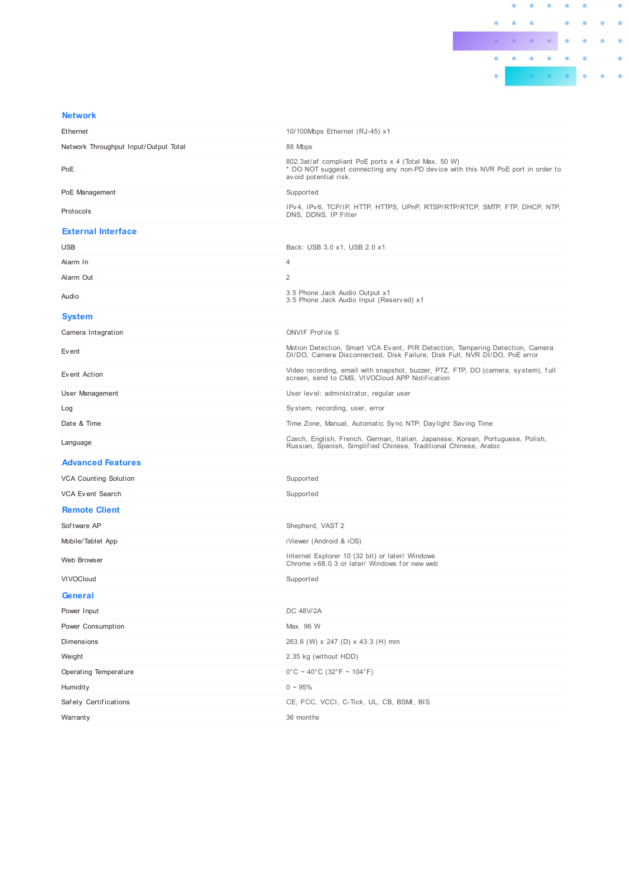

| <b>Network</b>                        |                                                                                                                                                                   |  |
|---------------------------------------|-------------------------------------------------------------------------------------------------------------------------------------------------------------------|--|
| Ethernet                              | 10/100Mbps Ethernet (RJ-45) x1                                                                                                                                    |  |
| Network Throughput Input/Output Total | 88 Mbps                                                                                                                                                           |  |
| PoE                                   | 802.3at/af compliant PoE ports x 4 (Total Max. 50 W)<br>* DO NOT suggest connecting any non-PD device with this NVR PoE port in order to<br>avoid potential risk. |  |
| PoE Management                        | Supported                                                                                                                                                         |  |
| Protocols                             | IPv4, IPv6, TCP/IP, HTTP, HTTPS, UPnP, RTSP/RTP/RTCP, SMTP, FTP, DHCP, NTP,<br>DNS, DDNS, IP Filter                                                               |  |
| <b>External Interface</b>             |                                                                                                                                                                   |  |
| <b>USB</b>                            | Back: USB 3.0 x1, USB 2.0 x1                                                                                                                                      |  |
| Alarm In                              | $\overline{4}$                                                                                                                                                    |  |
| Alarm Out                             | $\overline{c}$                                                                                                                                                    |  |
| Audio                                 | 3.5 Phone Jack Audio Output x1<br>3.5 Phone Jack Audio Input (Reserved) x1                                                                                        |  |
| <b>System</b>                         |                                                                                                                                                                   |  |
| Camera Integration                    | <b>ONVIF Profile S</b>                                                                                                                                            |  |
| Event                                 | Motion Detection, Smart VCA Event, PIR Detection, Tampering Detection, Camera<br>DI/DO, Camera Disconnected, Disk Failure, Disk Full, NVR DI/DO, PoE error        |  |
| Event Action                          | Video recording, email with snapshot, buzzer, PTZ, FTP, DO (camera, system), full<br>screen, send to CMS, VIVOCloud APP Notification                              |  |
| User Management                       | User level: administrator, regular user                                                                                                                           |  |
| Log                                   | System, recording, user, error                                                                                                                                    |  |
| Date & Time                           | Time Zone, Manual, Automatic Sync NTP, Daylight Saving Time                                                                                                       |  |
| Language                              | Czech, English, French, German, Italian, Japanese, Korean, Portuguese, Polish,<br>Russian, Spanish, Simplified Chinese, Traditional Chinese, Arabic               |  |
| <b>Advanced Features</b>              |                                                                                                                                                                   |  |
| <b>VCA Counting Solution</b>          | Supported                                                                                                                                                         |  |
| <b>VCA Event Search</b>               | Supported                                                                                                                                                         |  |
| <b>Remote Client</b>                  |                                                                                                                                                                   |  |
| Software AP                           | Shepherd, VAST 2                                                                                                                                                  |  |
| Mobile/Tablet App                     | iViewer (Android & iOS)                                                                                                                                           |  |
| Web Browser                           | Internet Explorer 10 (32 bit) or later/ Windows<br>Chrome y 68.0.3 or later/ Windows for new web                                                                  |  |
| <b>VIVOCIoud</b>                      | Supported                                                                                                                                                         |  |
| General                               |                                                                                                                                                                   |  |
| Power Input                           | DC 48V/2A                                                                                                                                                         |  |
| Power Consumption                     | Max. 96 W                                                                                                                                                         |  |
| Dimensions                            | 263.6 (W) x 247 (D) x 43.3 (H) mm                                                                                                                                 |  |
| Weight                                | 2.35 kg (without HDD)                                                                                                                                             |  |
| Operating Temperature                 | $0^{\circ}$ C ~ 40°C (32°F ~ 104°F)                                                                                                                               |  |
| Humidity                              | $0 - 95%$                                                                                                                                                         |  |
| Safety Certifications                 | CE, FCC, VCCI, C-Tick, UL, CB, BSMI, BIS                                                                                                                          |  |
| Warranty                              | 36 months                                                                                                                                                         |  |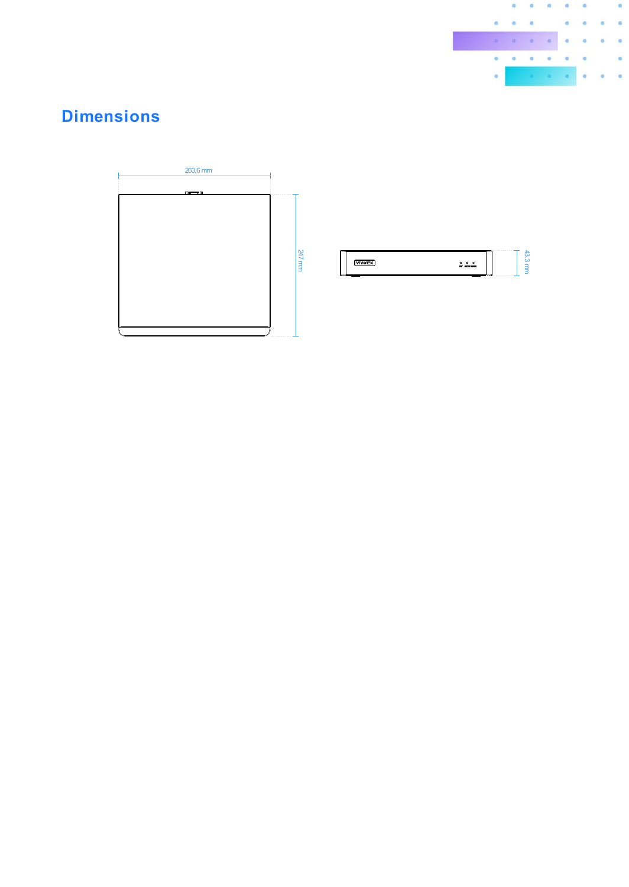

### **Dimensions**